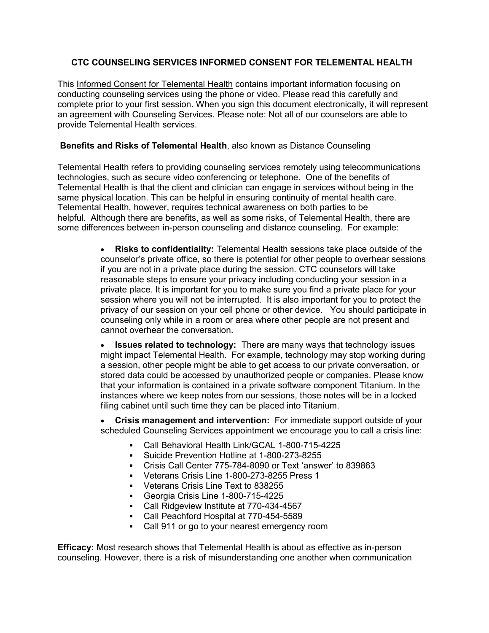# **CTC COUNSELING SERVICES INFORMED CONSENT FOR TELEMENTAL HEALTH**

This Informed Consent for Telemental Health contains important information focusing on conducting counseling services using the phone or video. Please read this carefully and complete prior to your first session. When you sign this document electronically, it will represent an agreement with Counseling Services. Please note: Not all of our counselors are able to provide Telemental Health services.

## **Benefits and Risks of Telemental Health**, also known as Distance Counseling

Telemental Health refers to providing counseling services remotely using telecommunications technologies, such as secure video conferencing or telephone. One of the benefits of Telemental Health is that the client and clinician can engage in services without being in the same physical location. This can be helpful in ensuring continuity of mental health care. Telemental Health, however, requires technical awareness on both parties to be helpful. Although there are benefits, as well as some risks, of Telemental Health, there are some differences between in-person counseling and distance counseling. For example:

> **Risks to confidentiality:** Telemental Health sessions take place outside of the counselor's private office, so there is potential for other people to overhear sessions if you are not in a private place during the session. CTC counselors will take reasonable steps to ensure your privacy including conducting your session in a private place. It is important for you to make sure you find a private place for your session where you will not be interrupted. It is also important for you to protect the privacy of our session on your cell phone or other device. You should participate in counseling only while in a room or area where other people are not present and cannot overhear the conversation.

> **• Issues related to technology:** There are many ways that technology issues might impact Telemental Health. For example, technology may stop working during a session, other people might be able to get access to our private conversation, or stored data could be accessed by unauthorized people or companies. Please know that your information is contained in a private software component Titanium. In the instances where we keep notes from our sessions, those notes will be in a locked filing cabinet until such time they can be placed into Titanium.

> x **Crisis management and intervention:** For immediate support outside of your scheduled Counseling Services appointment we encourage you to call a crisis line:

- Call Behavioral Health Link/GCAL 1-800-715-4225
- Suicide Prevention Hotline at 1-800-273-8255
- Crisis Call Center 775-784-8090 or Text 'answer' to 839863
- Veterans Crisis Line 1-800-273-8255 Press 1
- Veterans Crisis Line Text to 838255
- Georgia Crisis Line 1-800-715-4225
- Call Ridgeview Institute at 770-434-4567
- Call Peachford Hospital at 770-454-5589
- Call 911 or go to your nearest emergency room

**Efficacy:** Most research shows that Telemental Health is about as effective as in-person counseling. However, there is a risk of misunderstanding one another when communication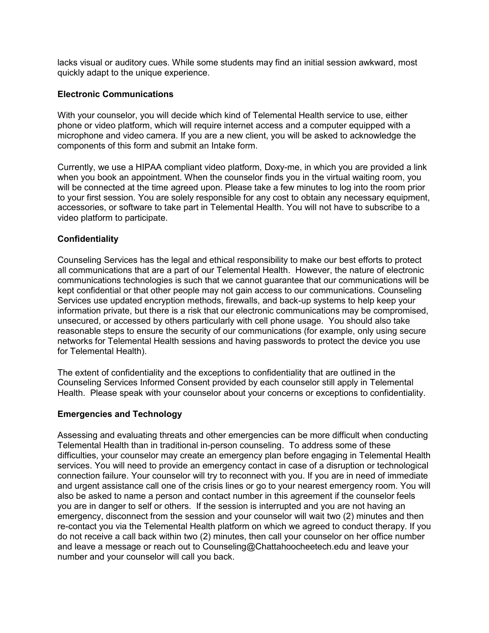lacks visual or auditory cues. While some students may find an initial session awkward, most quickly adapt to the unique experience.

#### **Electronic Communications**

With your counselor, you will decide which kind of Telemental Health service to use, either phone or video platform, which will require internet access and a computer equipped with a microphone and video camera. If you are a new client, you will be asked to acknowledge the components of this form and submit an Intake form.

Currently, we use a HIPAA compliant video platform, Doxy-me, in which you are provided a link when you book an appointment. When the counselor finds you in the virtual waiting room, you will be connected at the time agreed upon. Please take a few minutes to log into the room prior to your first session. You are solely responsible for any cost to obtain any necessary equipment, accessories, or software to take part in Telemental Health. You will not have to subscribe to a video platform to participate.

### **Confidentiality**

Counseling Services has the legal and ethical responsibility to make our best efforts to protect all communications that are a part of our Telemental Health. However, the nature of electronic communications technologies is such that we cannot guarantee that our communications will be kept confidential or that other people may not gain access to our communications. Counseling Services use updated encryption methods, firewalls, and back-up systems to help keep your information private, but there is a risk that our electronic communications may be compromised, unsecured, or accessed by others particularly with cell phone usage. You should also take reasonable steps to ensure the security of our communications (for example, only using secure networks for Telemental Health sessions and having passwords to protect the device you use for Telemental Health).

The extent of confidentiality and the exceptions to confidentiality that are outlined in the Counseling Services Informed Consent provided by each counselor still apply in Telemental Health. Please speak with your counselor about your concerns or exceptions to confidentiality.

#### **Emergencies and Technology**

Assessing and evaluating threats and other emergencies can be more difficult when conducting Telemental Health than in traditional in-person counseling. To address some of these difficulties, your counselor may create an emergency plan before engaging in Telemental Health services. You will need to provide an emergency contact in case of a disruption or technological connection failure. Your counselor will try to reconnect with you. If you are in need of immediate and urgent assistance call one of the crisis lines or go to your nearest emergency room. You will also be asked to name a person and contact number in this agreement if the counselor feels you are in danger to self or others. If the session is interrupted and you are not having an emergency, disconnect from the session and your counselor will wait two (2) minutes and then re-contact you via the Telemental Health platform on which we agreed to conduct therapy. If you do not receive a call back within two (2) minutes, then call your counselor on her office number and leave a message or reach out to Counseling@Chattahoocheetech.edu and leave your number and your counselor will call you back.